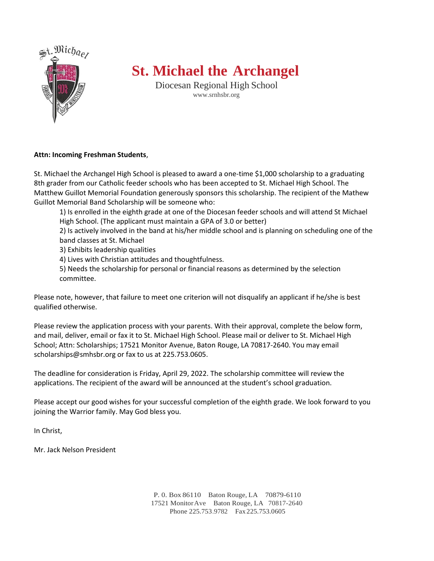

## **St. Michael the Archangel**

Diocesan Regional High School [www.srnhsbr.org](http://www.srnhsbr.org/)

### **Attn: Incoming Freshman Students**,

St. Michael the Archangel High School is pleased to award a one-time \$1,000 scholarship to a graduating 8th grader from our Catholic feeder schools who has been accepted to St. Michael High School. The Matthew Guillot Memorial Foundation generously sponsors this scholarship. The recipient of the Mathew Guillot Memorial Band Scholarship will be someone who:

1) Is enrolled in the eighth grade at one of the Diocesan feeder schools and will attend St Michael High School. (The applicant must maintain a GPA of 3.0 or better)

2) Is actively involved in the band at his/her middle school and is planning on scheduling one of the band classes at St. Michael

3) Exhibits leadership qualities

4) Lives with Christian attitudes and thoughtfulness.

5) Needs the scholarship for personal or financial reasons as determined by the selection committee.

Please note, however, that failure to meet one criterion will not disqualify an applicant if he/she is best qualified otherwise.

Please review the application process with your parents. With their approval, complete the below form, and mail, deliver, email or fax it to St. Michael High School. Please mail or deliver to St. Michael High School; Attn: Scholarships; 17521 Monitor Avenue, Baton Rouge, LA 70817-2640. You may email scholarships@smhsbr.org or fax to us at 225.753.0605.

The deadline for consideration is Friday, April 29, 2022. The scholarship committee will review the applications. The recipient of the award will be announced at the student's school graduation.

Please accept our good wishes for your successful completion of the eighth grade. We look forward to you joining the Warrior family. May God bless you.

In Christ,

Mr. Jack Nelson President

P. 0. Box 86110 Baton Rouge, LA 70879-6110 17521 MonitorAve Baton Rouge, LA 70817-2640 Phone 225.753.9782 Fax 225.753.0605